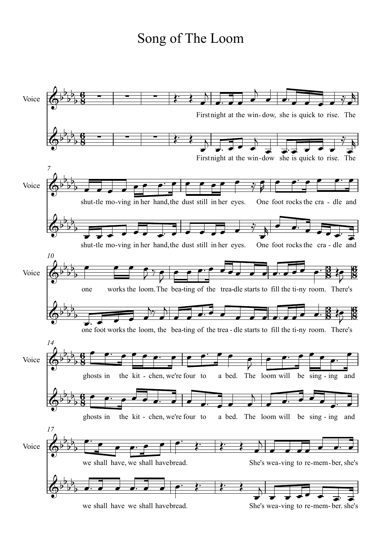## Song of The Loom

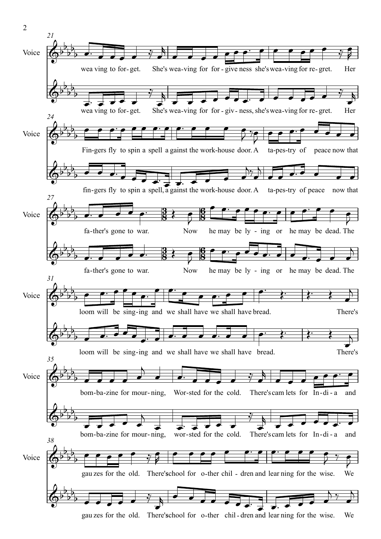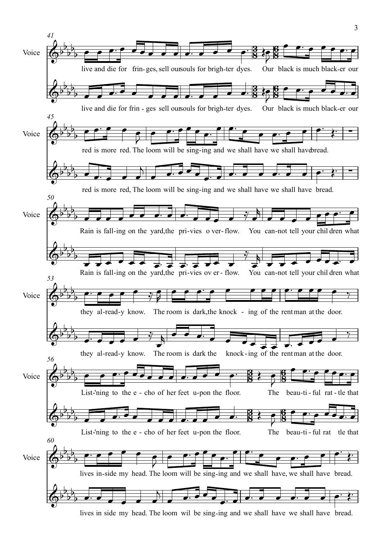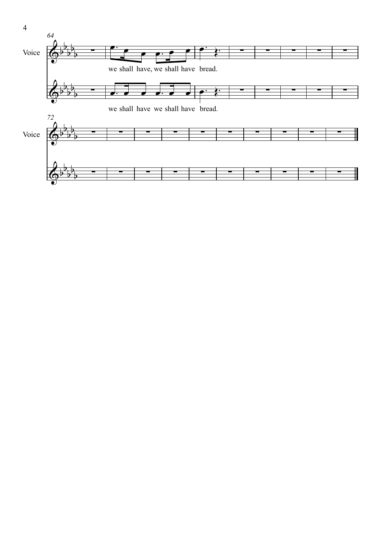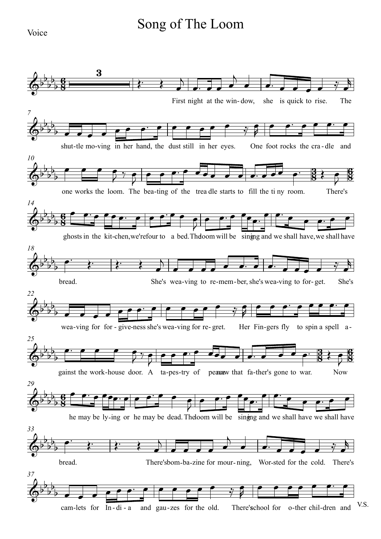## Song of The Loom

Voice

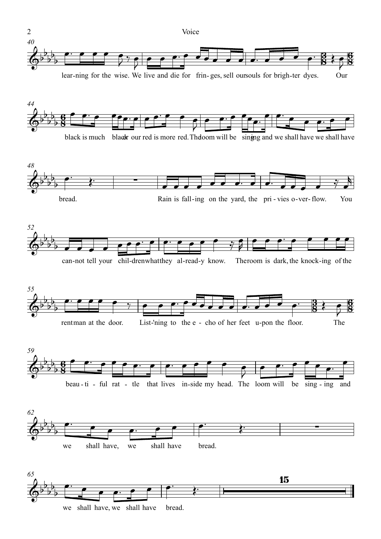

lear-ning for the wise. We live and die for frin- ges, sell oursouls for brigh-ter dyes. Our













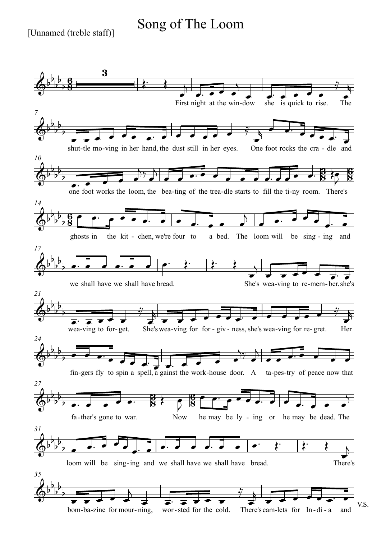## Song of The Loom